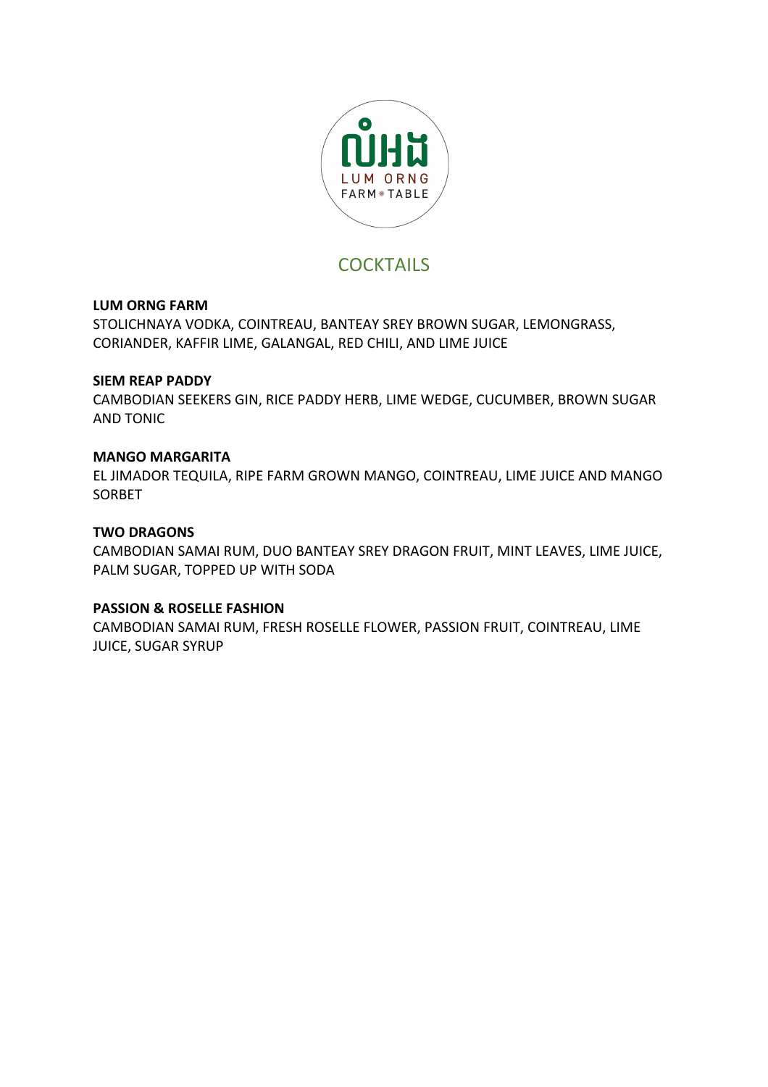

# **COCKTAILS**

#### **LUM ORNG FARM**

STOLICHNAYA VODKA, COINTREAU, BANTEAY SREY BROWN SUGAR, LEMONGRASS, CORIANDER, KAFFIR LIME, GALANGAL, RED CHILI, AND LIME JUICE

#### **SIEM REAP PADDY**

CAMBODIAN SEEKERS GIN, RICE PADDY HERB, LIME WEDGE, CUCUMBER, BROWN SUGAR **AND TONIC** 

#### **MANGO MARGARITA**

EL JIMADOR TEQUILA, RIPE FARM GROWN MANGO, COINTREAU, LIME JUICE AND MANGO SORBET 

#### **TWO DRAGONS**

CAMBODIAN SAMAI RUM, DUO BANTEAY SREY DRAGON FRUIT, MINT LEAVES, LIME JUICE, PALM SUGAR, TOPPED UP WITH SODA

#### **PASSION & ROSELLE FASHION**

CAMBODIAN SAMAI RUM, FRESH ROSELLE FLOWER, PASSION FRUIT, COINTREAU, LIME **JUICE, SUGAR SYRUP**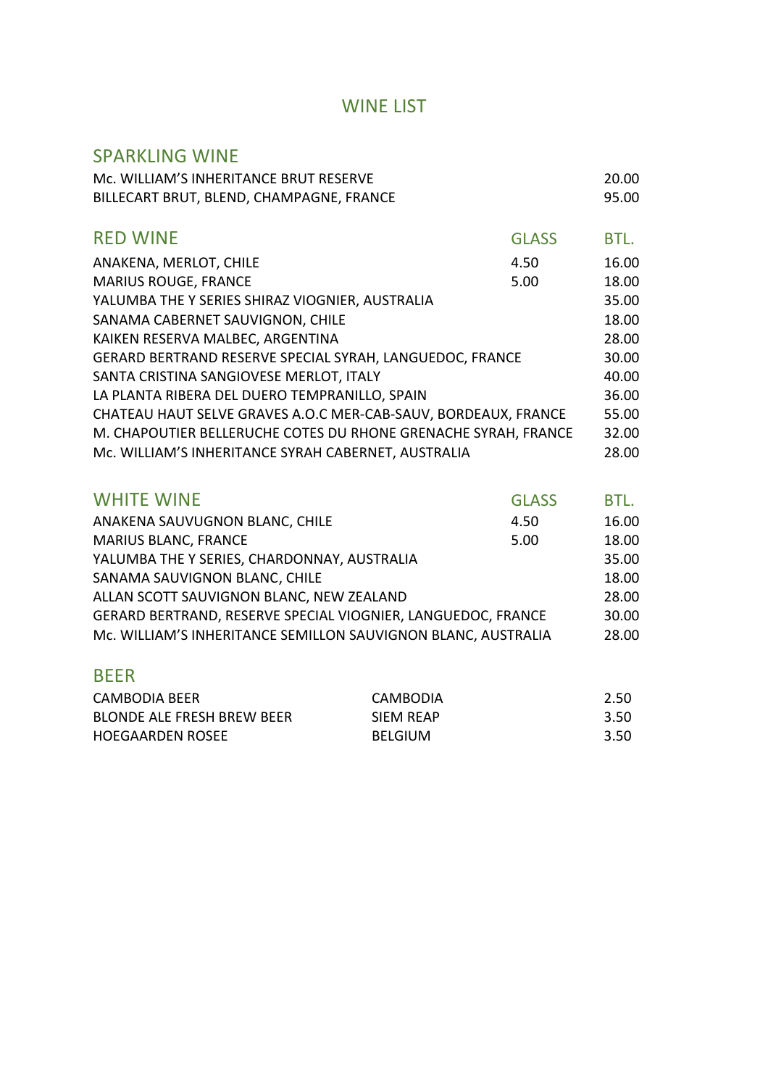## WINE LIST

### SPARKLING WINE

| Mc. WILLIAM'S INHERITANCE BRUT RESERVE                         |              | 20.00 |
|----------------------------------------------------------------|--------------|-------|
| BILLECART BRUT, BLEND, CHAMPAGNE, FRANCE                       |              | 95.00 |
|                                                                |              |       |
| <b>RED WINE</b>                                                | <b>GLASS</b> | BTL.  |
| ANAKENA, MERLOT, CHILE                                         | 4.50         | 16.00 |
| <b>MARIUS ROUGE, FRANCE</b>                                    | 5.00         | 18.00 |
| YALUMBA THE Y SERIES SHIRAZ VIOGNIER, AUSTRALIA                |              | 35.00 |
| SANAMA CABERNET SAUVIGNON, CHILE                               |              | 18.00 |
| KAIKEN RESERVA MALBEC, ARGENTINA                               |              | 28.00 |
| GERARD BERTRAND RESERVE SPECIAL SYRAH, LANGUEDOC, FRANCE       |              | 30.00 |
| SANTA CRISTINA SANGIOVESE MERLOT, ITALY                        |              | 40.00 |
| LA PLANTA RIBERA DEL DUERO TEMPRANILLO, SPAIN                  |              | 36.00 |
| CHATEAU HAUT SELVE GRAVES A.O.C MER-CAB-SAUV, BORDEAUX, FRANCE |              | 55.00 |
| M. CHAPOUTIER BELLERUCHE COTES DU RHONE GRENACHE SYRAH, FRANCE |              | 32.00 |
| Mc. WILLIAM'S INHERITANCE SYRAH CABERNET, AUSTRALIA            |              | 28.00 |

| <b>WHITE WINE</b>                                             | <b>GLASS</b> | BTL.  |
|---------------------------------------------------------------|--------------|-------|
| ANAKENA SAUVUGNON BLANC, CHILE                                | 4.50         | 16.00 |
| <b>MARIUS BLANC, FRANCE</b>                                   | 5.00         | 18.00 |
| YALUMBA THE Y SERIES, CHARDONNAY, AUSTRALIA                   |              | 35.00 |
| SANAMA SAUVIGNON BLANC, CHILE                                 |              | 18.00 |
| ALLAN SCOTT SAUVIGNON BLANC, NEW ZEALAND                      |              | 28.00 |
| GERARD BERTRAND, RESERVE SPECIAL VIOGNIER, LANGUEDOC, FRANCE  |              | 30.00 |
| Mc. WILLIAM'S INHERITANCE SEMILLON SAUVIGNON BLANC, AUSTRALIA |              | 28.00 |

## BEER

| CAMBODIA BEER                     | CAMBODIA       | 2.50 |
|-----------------------------------|----------------|------|
| <b>BLONDE ALE FRESH BREW BEER</b> | SIFM RFAP      | 3.50 |
| <b>HOEGAARDEN ROSEE</b>           | <b>BELGIUM</b> | 3.50 |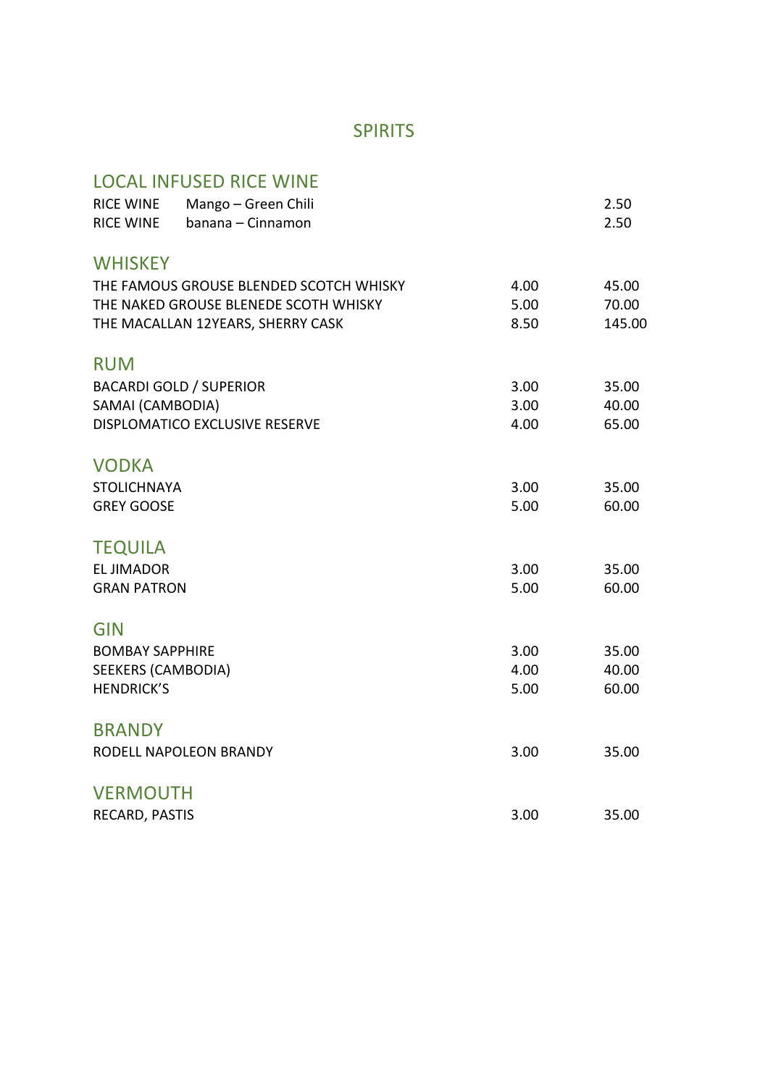# SPIRITS

# LOCAL INFUSED RICE WINE

| <b>RICE WINE</b>          | Mango - Green Chili                     |      | 2.50   |
|---------------------------|-----------------------------------------|------|--------|
| <b>RICE WINE</b>          | banana - Cinnamon                       |      | 2.50   |
| <b>WHISKEY</b>            |                                         |      |        |
|                           | THE FAMOUS GROUSE BLENDED SCOTCH WHISKY | 4.00 | 45.00  |
|                           | THE NAKED GROUSE BLENEDE SCOTH WHISKY   | 5.00 | 70.00  |
|                           | THE MACALLAN 12YEARS, SHERRY CASK       | 8.50 | 145.00 |
| <b>RUM</b>                |                                         |      |        |
|                           | <b>BACARDI GOLD / SUPERIOR</b>          | 3.00 | 35.00  |
| SAMAI (CAMBODIA)          |                                         | 3.00 | 40.00  |
|                           | DISPLOMATICO EXCLUSIVE RESERVE          | 4.00 | 65.00  |
| <b>VODKA</b>              |                                         |      |        |
| <b>STOLICHNAYA</b>        |                                         | 3.00 | 35.00  |
| <b>GREY GOOSE</b>         |                                         | 5.00 | 60.00  |
| <b>TEQUILA</b>            |                                         |      |        |
| <b>EL JIMADOR</b>         |                                         | 3.00 | 35.00  |
| <b>GRAN PATRON</b>        |                                         | 5.00 | 60.00  |
| <b>GIN</b>                |                                         |      |        |
| <b>BOMBAY SAPPHIRE</b>    |                                         | 3.00 | 35.00  |
| <b>SEEKERS (CAMBODIA)</b> |                                         | 4.00 | 40.00  |
| <b>HENDRICK'S</b>         |                                         | 5.00 | 60.00  |
| <b>BRANDY</b>             |                                         |      |        |
|                           | RODELL NAPOLEON BRANDY                  | 3.00 | 35.00  |
| <b>VERMOUTH</b>           |                                         |      |        |
| RECARD, PASTIS            |                                         | 3.00 | 35.00  |
|                           |                                         |      |        |